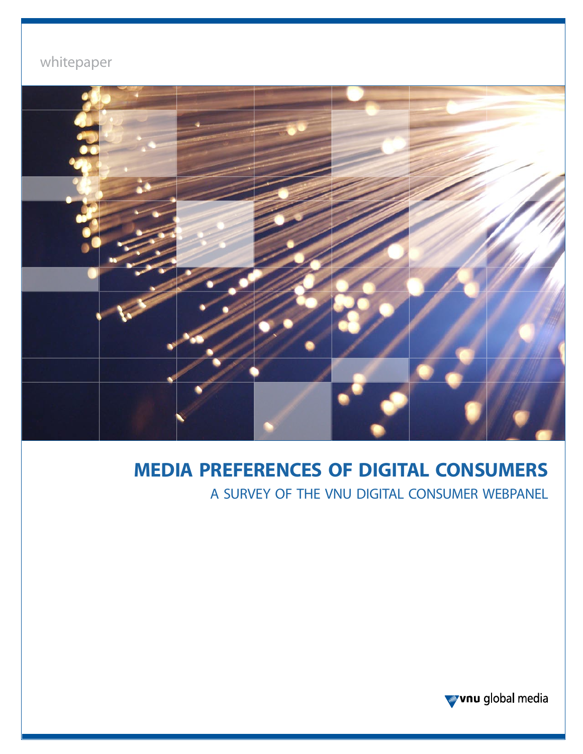# whitepaper



# **media preferences of digital consumers**

a survey of the vnu digital consumer webpanel

wvnu global media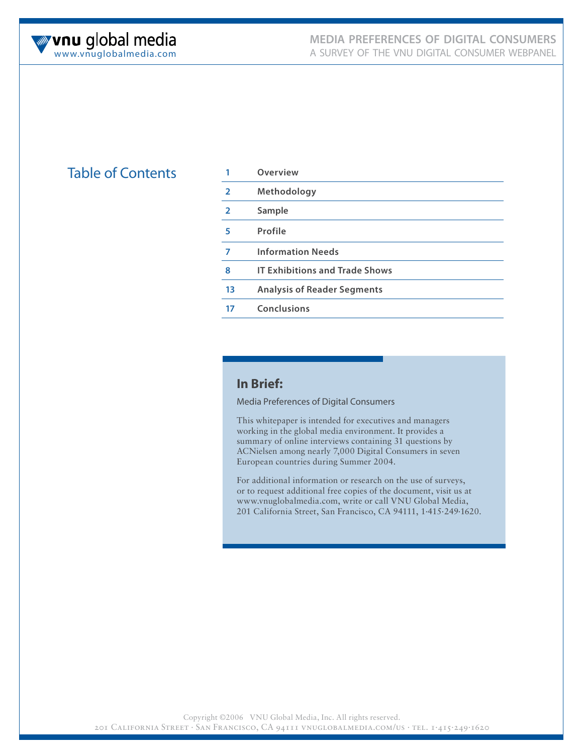

# **Table of Contents**

|                | Overview                              |
|----------------|---------------------------------------|
| $\overline{2}$ | Methodology                           |
| $\overline{2}$ | Sample                                |
| 5              | Profile                               |
| 7              | <b>Information Needs</b>              |
| 8              | <b>IT Exhibitions and Trade Shows</b> |
| 13             | <b>Analysis of Reader Segments</b>    |
| 17             | Conclusions                           |
|                |                                       |

# **In Brief:**

Media Preferences of Digital Consumers

This whitepaper is intended for executives and managers working in the global media environment. It provides a summary of online interviews containing 31 questions by ACNielsen among nearly 7,000 Digital Consumers in seven European countries during Summer 2004.

For additional information or research on the use of surveys, or to request additional free copies of the document, visit us at www.vnuglobalmedia.com, write or call VNU Global Media, 201 California Street, San Francisco, CA 94111, 1.415.249.1620.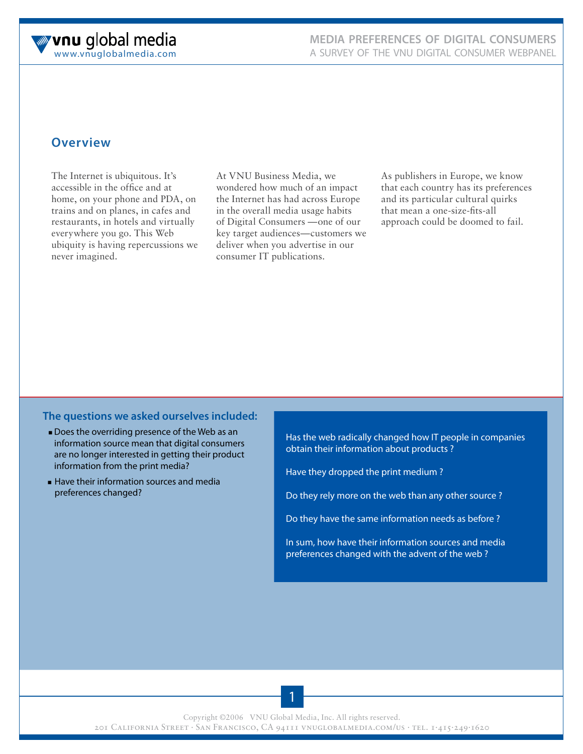

# **Overview**

The Internet is ubiquitous. It's accessible in the office and at home, on your phone and PDA, on trains and on planes, in cafes and restaurants, in hotels and virtually everywhere you go. This Web ubiquity is having repercussions we never imagined.

At VNU Business Media, we wondered how much of an impact the Internet has had across Europe in the overall media usage habits of Digital Consumers —one of our key target audiences—customers we deliver when you advertise in our consumer IT publications.

As publishers in Europe, we know that each country has its preferences and its particular cultural quirks that mean a one-size-fits-all approach could be doomed to fail.

#### **The questions we asked ourselves included:**

- **Does the overriding presence of the Web as an** information source mean that digital consumers are no longer interested in getting their product information from the print media?
- **Example 1** Have their information sources and media preferences changed?

Has the web radically changed how IT people in companies obtain their information about products ?

Have they dropped the print medium ?

Do they rely more on the web than any other source ?

Do they have the same information needs as before ?

In sum, how have their information sources and media preferences changed with the advent of the web ?

Copyright ©2006 VNU Global Media, Inc. All rights reserved.

201 California Street . San Francisco, CA 94111 vnuglobalmedia.com/us . tel. 1.415.249.1620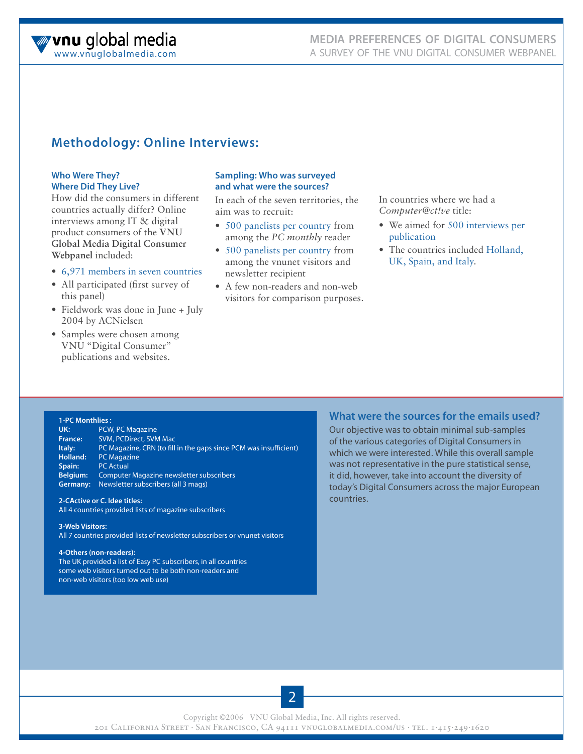

# **Methodology: Online Interviews:**

#### **Who Were They? Where Did They Live?**

How did the consumers in different countries actually differ? Online interviews among IT & digital product consumers of the **VNU Global Media Digital Consumer Webpanel** included:

- 6,971 members in seven countries
- All participated (first survey of this panel)
- Fieldwork was done in June + July 2004 by ACNielsen
- Samples were chosen among VNU "Digital Consumer" publications and websites.

#### **Sampling: Who was surveyed and what were the sources?**

In each of the seven territories, the aim was to recruit:

- 500 panelists per country from among the *PC monthly* reader
- 500 panelists per country from among the vnunet visitors and newsletter recipient
- A few non-readers and non-web visitors for comparison purposes.

In countries where we had a *Computer@ct!ve* title:

- We aimed for 500 interviews per publication
- The countries included Holland, UK, Spain, and Italy.

#### **1-PC Monthlies :**

UK: PCW, PC Magazine **France:** SVM, PCDirect, SVM Mac Italy: PC Magazine, CRN (to fill in the gaps since PCM was insufficient) **Holland:** PC Magazine **Spain:** PC Actual **Belgium:** Computer Magazine newsletter subscribers **Germany:** Newsletter subscribers (all 3 mags)

**What were the sources for the emails used?**

#### **2-CActive or C. Idee titles:**

All 4 countries provided lists of magazine subscribers

#### **3-Web Visitors:**

All 7 countries provided lists of newsletter subscribers or vnunet visitors

#### **4-Others (non-readers):**

The UK provided a list of Easy PC subscribers, in all countries some web visitors turned out to be both non-readers and non-web visitors (too low web use)

#### **What were the sources for the emails used?**

Our objective was to obtain minimal sub-samples of the various categories of Digital Consumers in which we were interested. While this overall sample was not representative in the pure statistical sense, it did, however, take into account the diversity of today's Digital Consumers across the major European countries.

2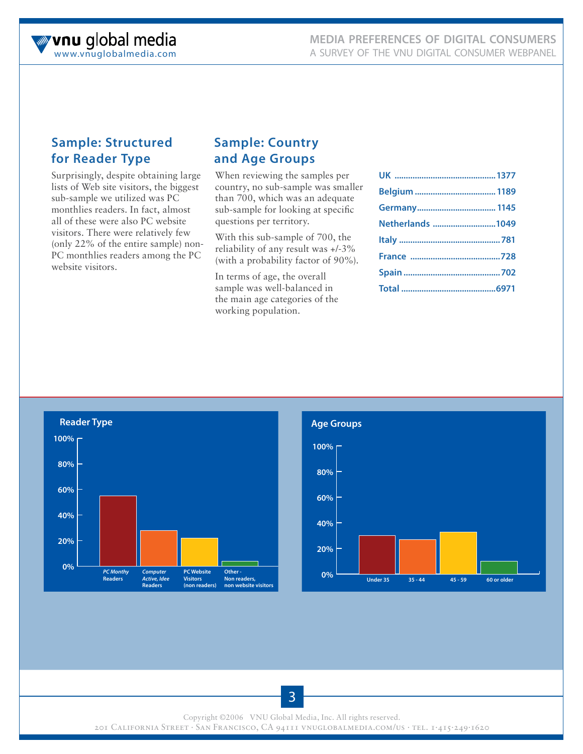# **Sample: Structured for Reader Type**

Surprisingly, despite obtaining large lists of Web site visitors, the biggest sub-sample we utilized was PC monthlies readers. In fact, almost all of these were also PC website visitors. There were relatively few (only 22% of the entire sample) non-PC monthlies readers among the PC website visitors.

# **Sample: Country and Age Groups**

When reviewing the samples per country, no sub-sample was smaller than 700, which was an adequate sub-sample for looking at specific questions per territory.

With this sub-sample of 700, the reliability of any result was +/-3% (with a probability factor of 90%).

In terms of age, the overall sample was well-balanced in the main age categories of the working population.

| Netherlands 1049 |  |
|------------------|--|
|                  |  |
|                  |  |
|                  |  |
|                  |  |





Copyright ©2006 VNU Global Media, Inc. All rights reserved.

201 California Street . San Francisco, CA 94111 vnuglobalmedia.com/us . tel. 1.415.249.1620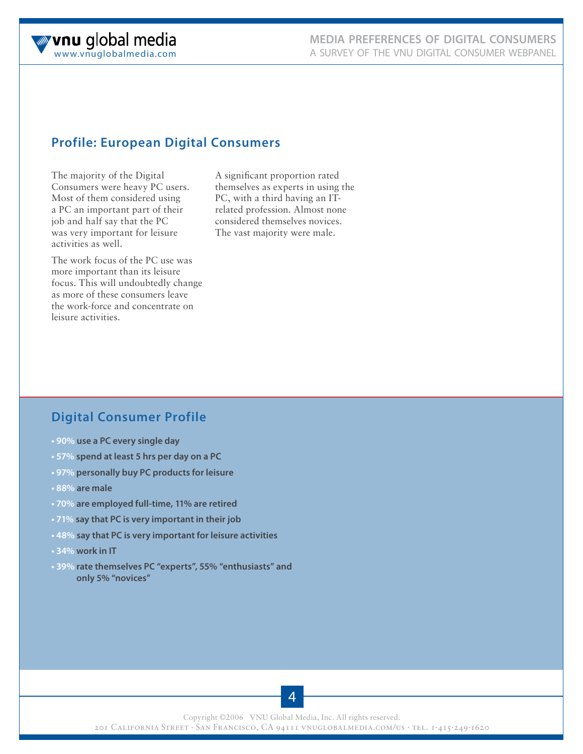

# **Profile: European Digital Consumers**

The majority of the Digital Consumers were heavy PC users. Most of them considered using a PC an important part of their job and half say that the PC was very important for leisure activities as well.

The work focus of the PC use was more important than its leisure focus. This will undoubtedly change as more of these consumers leave the work-force and concentrate on leisure activities.

A significant proportion rated themselves as experts in using the PC, with a third having an ITrelated profession. Almost none considered themselves novices. The vast majority were male.

# **Digital Consumer Profile**

- **90% use a PC every single day**
- **57% spend at least 5 hrs per day on a PC**
- **97% personally buy PC products for leisure**
- **88% are male**
- **70% are employed full-time, 11% are retired**
- **71% say that PC is very important in their job**
- **48% say that PC is very important for leisure activities**
- **34% work in IT**
- **39% rate themselves PC "experts", 55% "enthusiasts" and only 5% "novices"**

4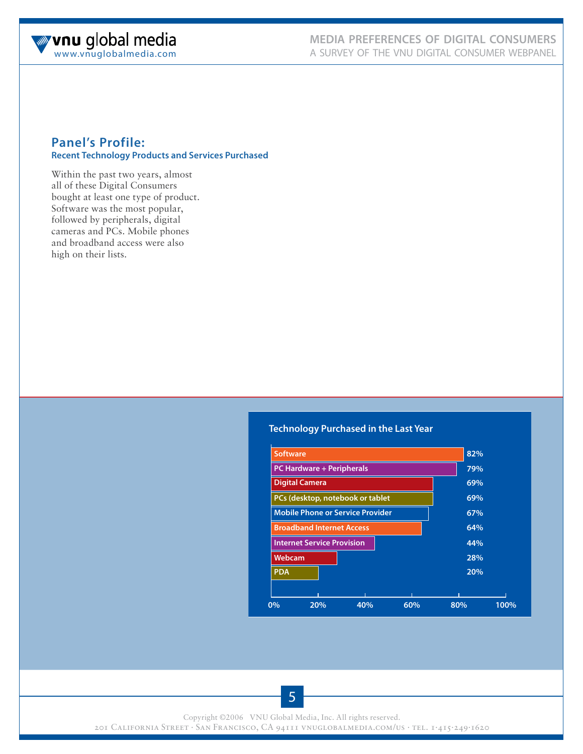

## **Panel's Profile: Recent Technology Products and Services Purchased**

Within the past two years, almost all of these Digital Consumers bought at least one type of product. Software was the most popular, followed by peripherals, digital cameras and PCs. Mobile phones and broadband access were also high on their lists.

#### **Technology Purchased in the Last Year**



5

Copyright ©2006 VNU Global Media, Inc. All rights reserved.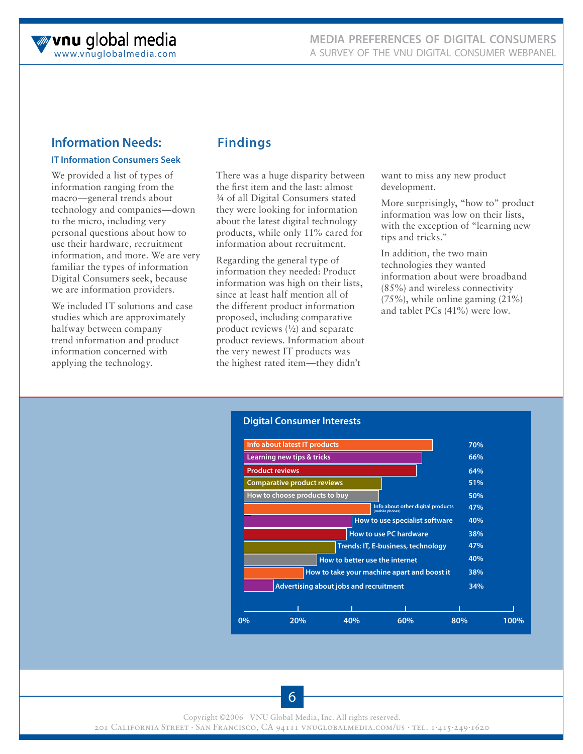# **Information Needs:**

## **IT Information Consumers Seek**

We provided a list of types of information ranging from the macro—general trends about technology and companies—down to the micro, including very personal questions about how to use their hardware, recruitment information, and more. We are very familiar the types of information Digital Consumers seek, because we are information providers.

We included IT solutions and case studies which are approximately halfway between company trend information and product information concerned with applying the technology.

# **Findings**

There was a huge disparity between the first item and the last: almost ¾ of all Digital Consumers stated they were looking for information about the latest digital technology products, while only 11% cared for information about recruitment.

Regarding the general type of information they needed: Product information was high on their lists, since at least half mention all of the different product information proposed, including comparative product reviews (½) and separate product reviews. Information about the very newest IT products was the highest rated item—they didn't

want to miss any new product development.

More surprisingly, "how to" product information was low on their lists, with the exception of "learning new tips and tricks."

In addition, the two main technologies they wanted information about were broadband (85%) and wireless connectivity (75%), while online gaming (21%) and tablet PCs (41%) were low.



Copyright ©2006 VNU Global Media, Inc. All rights reserved.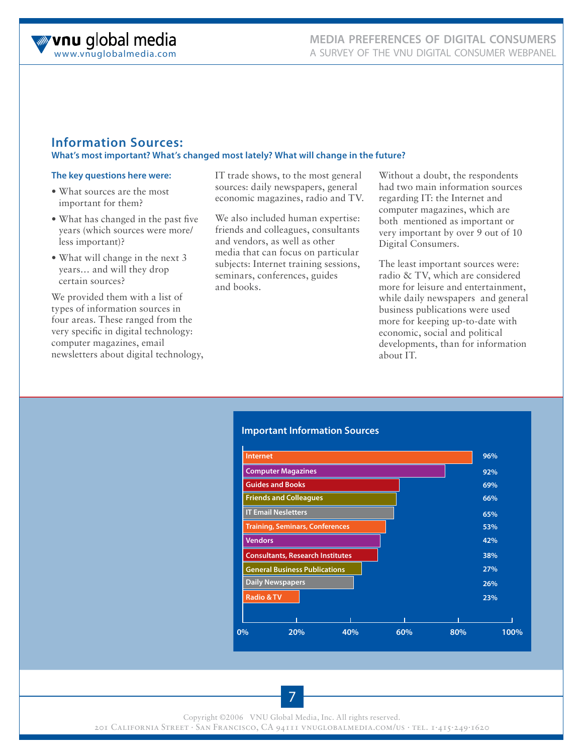## **Information Sources: What's most important? What's changed most lately? What will change in the future?**

#### **The key questions here were:**

- What sources are the most important for them?
- What has changed in the past five years (which sources were more/ less important)?
- What will change in the next 3 years… and will they drop certain sources?

We provided them with a list of types of information sources in four areas. These ranged from the very specific in digital technology: computer magazines, email newsletters about digital technology, IT trade shows, to the most general sources: daily newspapers, general economic magazines, radio and TV.

We also included human expertise: friends and colleagues, consultants and vendors, as well as other media that can focus on particular subjects: Internet training sessions, seminars, conferences, guides and books.

Without a doubt, the respondents had two main information sources regarding IT: the Internet and computer magazines, which are both mentioned as important or very important by over 9 out of 10 Digital Consumers.

The least important sources were: radio & TV, which are considered more for leisure and entertainment, while daily newspapers and general business publications were used more for keeping up-to-date with economic, social and political developments, than for information about IT.

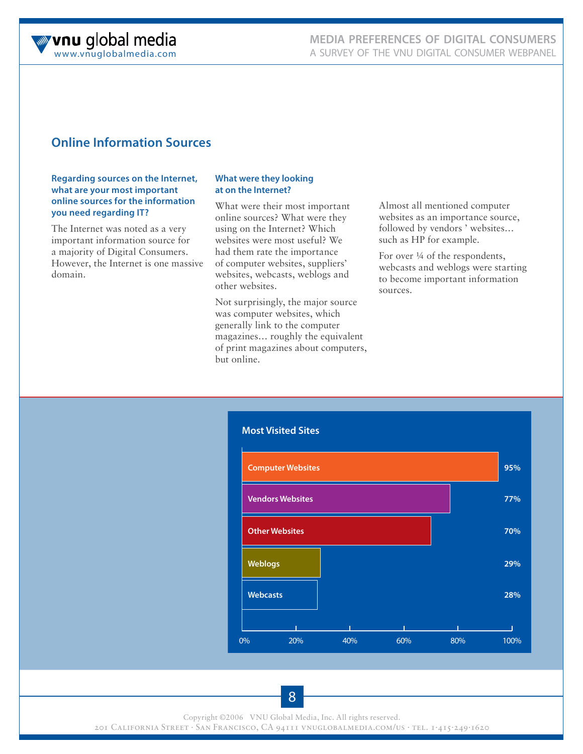

# **Online Information Sources**

#### **Regarding sources on the Internet, what are your most important online sources for the information you need regarding IT?**

The Internet was noted as a very important information source for a majority of Digital Consumers. However, the Internet is one massive domain.

#### **What were they looking at on the Internet?**

What were their most important online sources? What were they using on the Internet? Which websites were most useful? We had them rate the importance of computer websites, suppliers' websites, webcasts, weblogs and other websites.

Not surprisingly, the major source was computer websites, which generally link to the computer magazines… roughly the equivalent of print magazines about computers, but online.

Almost all mentioned computer websites as an importance source, followed by vendors ' websites… such as HP for example.

For over ¼ of the respondents, webcasts and weblogs were starting to become important information sources.

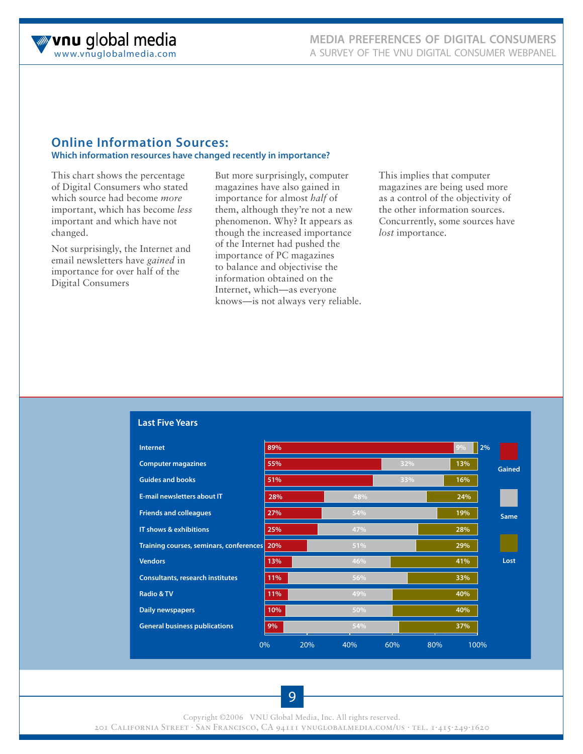

#### **Online Information Sources: Which information resources have changed recently in importance?**

This chart shows the percentage of Digital Consumers who stated which source had become *more* important, which has become *less* important and which have not changed.

Not surprisingly, the Internet and email newsletters have *gained* in importance for over half of the Digital Consumers

But more surprisingly, computer magazines have also gained in importance for almost *half* of them, although they're not a new phenomenon. Why? It appears as though the increased importance of the Internet had pushed the importance of PC magazines to balance and objectivise the information obtained on the Internet, which—as everyone knows—is not always very reliable. This implies that computer magazines are being used more as a control of the objectivity of the other information sources. Concurrently, some sources have *lost* importance.

| <b>Internet</b>                         | 89% |     |     |     | 9%  | $ 2\%$ |
|-----------------------------------------|-----|-----|-----|-----|-----|--------|
| <b>Computer magazines</b>               | 55% |     |     | 32% | 13% | Gained |
| <b>Guides and books</b>                 | 51% |     |     | 33% | 16% |        |
| <b>F-mail newsletters about IT</b>      | 28% |     | 48% |     | 24% |        |
| <b>Friends and colleagues</b>           | 27% |     | 54% |     | 19% | Same   |
| IT shows & exhibitions                  | 25% |     | 47% |     | 28% |        |
| Training courses, seminars, conferences | 20% |     | 51% |     | 29% |        |
| <b>Vendors</b>                          | 13% |     | 46% |     | 41% | Lost   |
| <b>Consultants, research institutes</b> | 11% |     | 56% |     | 33% |        |
| <b>Radio &amp; TV</b>                   | 11% |     | 49% |     | 40% |        |
| <b>Daily newspapers</b>                 | 10% |     | 50% |     | 40% |        |
| <b>General business publications</b>    | 9%  |     | 54% |     | 37% |        |
|                                         | 0%  | 20% | 40% | 60% | 80% | 100%   |

**Last Five Years**

Copyright ©2006 VNU Global Media, Inc. All rights reserved.

201 California Street . San Francisco, CA 94111 vnuglobalmedia.com/us . tel. 1.415.249.1620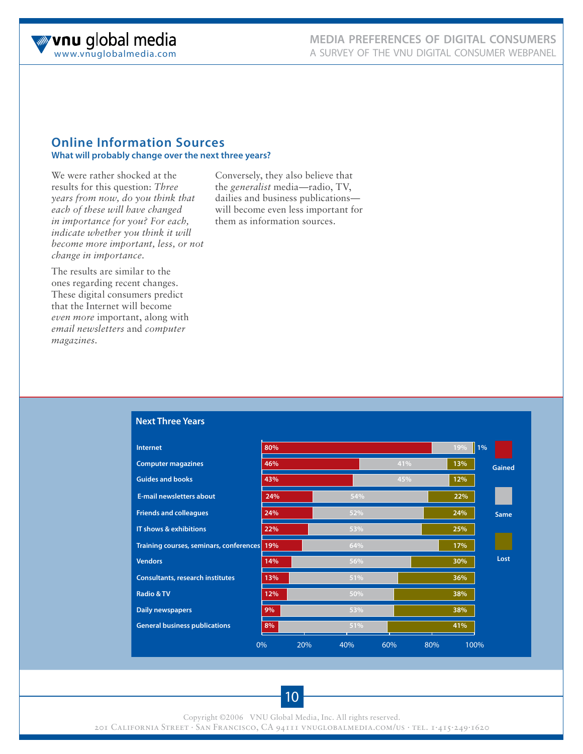

#### **Online Information Sources What will probably change over the next three years?**

We were rather shocked at the results for this question: *Three years from now, do you think that each of these will have changed in importance for you? For each, indicate whether you think it will become more important, less, or not change in importance.*

Conversely, they also believe that the *generalist* media—radio, TV, dailies and business publications will become even less important for them as information sources.

The results are similar to the ones regarding recent changes. These digital consumers predict that the Internet will become *even more* important, along with *email newsletters* and *computer magazines*.

| <b>Internet</b>                             | 80% |     |     |     |     | 19% | 1%            |
|---------------------------------------------|-----|-----|-----|-----|-----|-----|---------------|
| <b>Computer magazines</b>                   | 46% |     |     | 41% |     | 13% | <b>Gained</b> |
| <b>Guides and books</b>                     | 43% |     |     | 45% |     | 12% |               |
| <b>E-mail newsletters about</b>             | 24% |     | 54% |     |     | 22% |               |
| <b>Friends and colleagues</b>               | 24% |     | 52% |     |     | 24% | Same          |
| IT shows & exhibitions                      | 22% |     | 53% |     |     | 25% |               |
| Training courses, seminars, conferences 19% |     |     | 64% |     |     | 17% |               |
| <b>Vendors</b>                              | 14% |     | 56% |     |     | 30% | Lost          |
| <b>Consultants, research institutes</b>     | 13% |     | 51% |     |     | 36% |               |
| <b>Radio &amp; TV</b>                       | 12% |     | 50% |     |     | 38% |               |
| Daily newspapers                            | 9%  |     | 53% |     |     | 38% |               |
| <b>General business publications</b>        | 8%  |     | 51% |     |     | 41% |               |
|                                             | 0%  | 20% | 40% | 60% | 80% |     | 100%          |

#### **Next Three Years**

Copyright ©2006 VNU Global Media, Inc. All rights reserved.

201 California Street . San Francisco, CA 94111 vnuglobalmedia.com/us . tel. 1.415.249.1620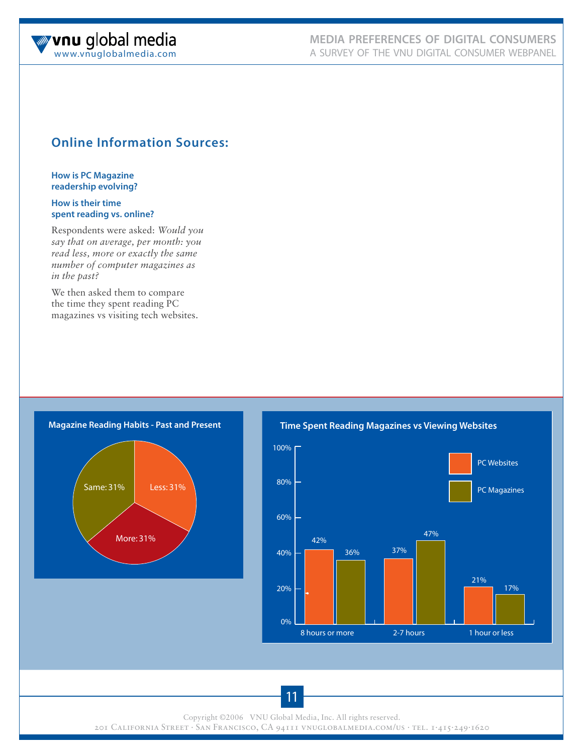

# **Online Information Sources:**

#### **How is PC Magazine readership evolving?**

#### **How is their time spent reading vs. online?**

Respondents were asked: *Would you say that on average, per month: you read less, more or exactly the same number of computer magazines as in the past?*

We then asked them to compare the time they spent reading PC magazines vs visiting tech websites.



**Time Spent Reading Magazines vs Viewing Websites**



Copyright ©2006 VNU Global Media, Inc. All rights reserved.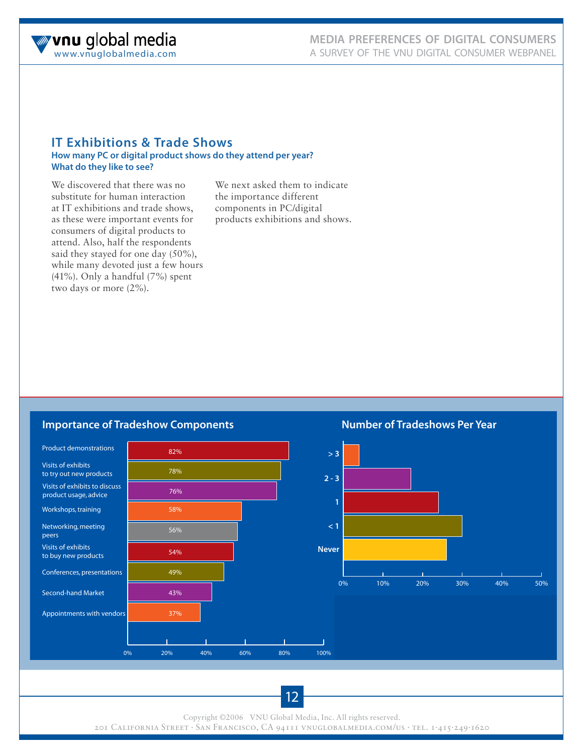

# **IT Exhibitions & Trade Shows**

#### **How many PC or digital product shows do they attend per year? What do they like to see?**

We discovered that there was no substitute for human interaction at IT exhibitions and trade shows, as these were important events for consumers of digital products to attend. Also, half the respondents said they stayed for one day (50%), while many devoted just a few hours (41%). Only a handful (7%) spent two days or more (2%).

We next asked them to indicate the importance different components in PC/digital products exhibitions and shows.

## **Importance of Tradeshow Components**

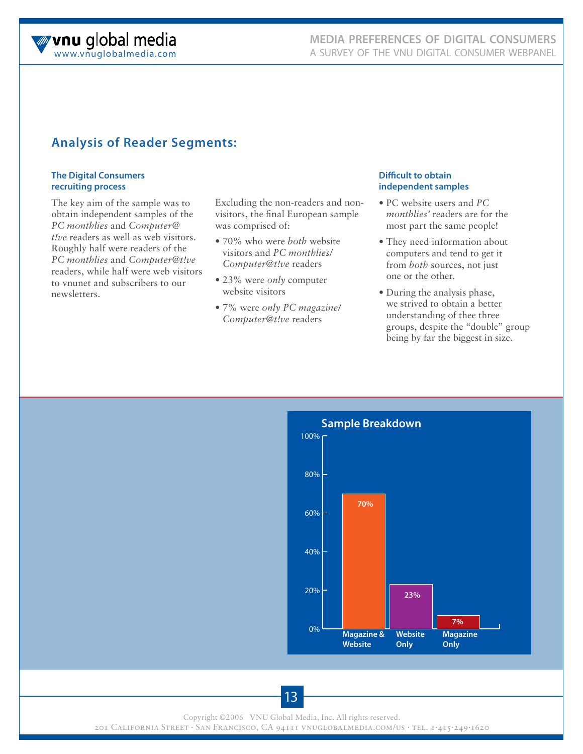

# **Analysis of Reader Segments:**

#### **The Digital Consumers recruiting process**

The key aim of the sample was to obtain independent samples of the *PC monthlies* and *Computer@ t!ve* readers as well as web visitors. Roughly half were readers of the *PC monthlies* and *Computer@t!ve* readers, while half were web visitors to vnunet and subscribers to our newsletters.

Excluding the non-readers and nonvisitors, the final European sample was comprised of:

- 70% who were *both* website visitors and *PC monthlies/ Computer@t!ve* readers
- 23% were *only* computer website visitors
- 7% were *only PC magazine/ Computer@t!ve* readers

#### **Difficult to obtain independent samples**

- PC website users and *PC monthlies'* readers are for the most part the same people!
- They need information about computers and tend to get it from *both* sources, not just one or the other.
- During the analysis phase, we strived to obtain a better understanding of thee three groups, despite the "double" group being by far the biggest in size.

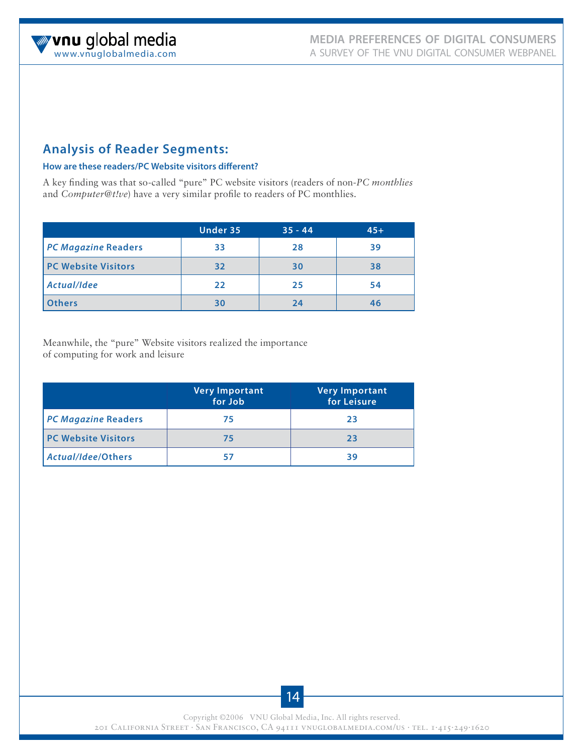# **Analysis of Reader Segments:**

#### **How are these readers/PC Website visitors different?**

A key finding was that so-called "pure" PC website visitors (readers of non-*PC monthlies*  and *Computer@t!ve*) have a very similar profile to readers of PC monthlies.

|                            | Under 35 | $35 - 44$ | $45+$ |
|----------------------------|----------|-----------|-------|
| <b>PC Magazine Readers</b> | 33       | 28        | 39    |
| <b>PC Website Visitors</b> | 32       | 30        | 38    |
| Actual/Idee                | 22       | 25        | 54    |
| <b>Others</b>              | 30       | フム        | 46    |

Meanwhile, the "pure" Website visitors realized the importance of computing for work and leisure

|                            | <b>Very Important</b><br>for Job | <b>Very Important</b><br>for Leisure |
|----------------------------|----------------------------------|--------------------------------------|
| <b>PC Magazine Readers</b> | 75                               | 23                                   |
| <b>PC Website Visitors</b> | 75                               | 23                                   |
| Actual/Idee/Others         |                                  | 39                                   |

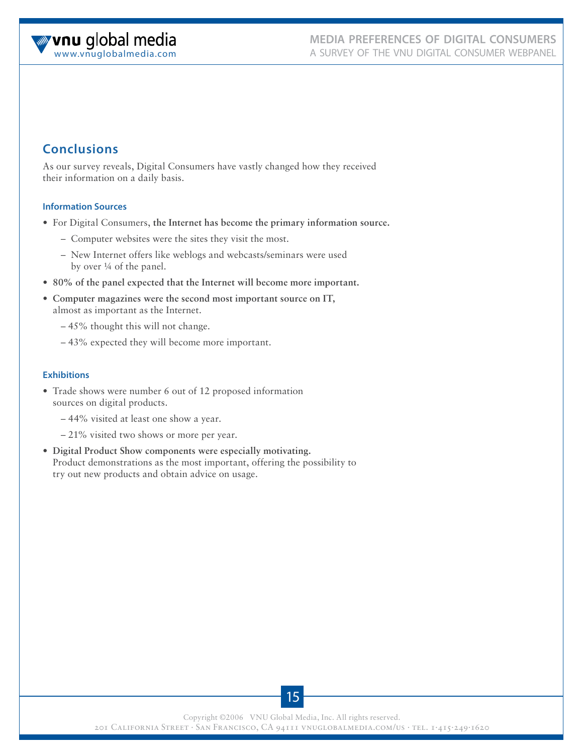# **Conclusions**

As our survey reveals, Digital Consumers have vastly changed how they received their information on a daily basis.

#### **Information Sources**

- For Digital Consumers, **the Internet has become the primary information source.**
	- Computer websites were the sites they visit the most.
	- New Internet offers like weblogs and webcasts/seminars were used by over ¼ of the panel.
- **80% of the panel expected that the Internet will become more important.**
- **Computer magazines were the second most important source on IT,** almost as important as the Internet.
	- 45% thought this will not change.
	- 43% expected they will become more important.

#### **Exhibitions**

- Trade shows were number 6 out of 12 proposed information sources on digital products.
	- 44% visited at least one show a year.
	- 21% visited two shows or more per year.
- **Digital Product Show components were especially motivating.** Product demonstrations as the most important, offering the possibility to try out new products and obtain advice on usage.